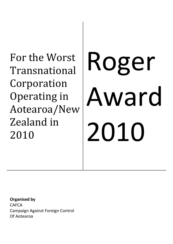For the Worst Transnational Corporation Operating in Aotearoa/New Zealand in 2010

# Roger Award 2010

**Organised by CAFCA** Campaign Against Foreign Control Of Aotearoa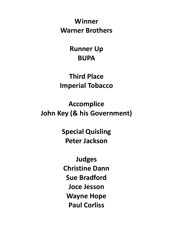**Winner Warner Brothers**

> **Runner Up BUPA**

**Third Place Imperial Tobacco**

**Accomplice John Key (& his Government)**

> **Special Quisling Peter Jackson**

**Judges Christine Dann Sue Bradford Joce Jesson Wayne Hope Paul Corliss**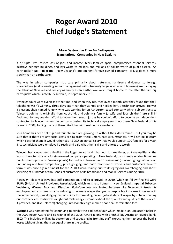# **Roger Award 2010 Chief Judge's Statement**

# **More Destructive Than An Earthquake Transnational Companies In New Zealand**

It disrupts lives, causes loss of jobs and income, tears families apart, compromises essential services, destroys heritage buildings, and lays waste to millions and millions of dollars worth of public assets. An earthquake? No – **Telecom** – New Zealand's pre-eminent foreign-owned company. It just does it more slowly than an earthquake.

The way in which companies that care primarily about returning handsome dividends to foreign shareholders (and rewarding senior management with obscenely large salaries and bonuses) are damaging the fabric of New Zealand society as surely as an earthquake was brought home to me after the first big earthquake which Canterbury suffered, in September 2010.

My neighbours were overseas at the time, and when they returned over a month later they found that their telephone wasn't working. Three days later than they wanted and needed him, a technician arrived. He was a pleasant chap named Johnny, who was working for an Ashburton‐based company which sub‐contracts to Telecom. Johnny is originally from Auckland, and Johnny's family (a wife and four children) are still in Auckland. Johnny couldn't afford to move them south, just as he couldn't afford to become an independent contractor to Telecom when the company pushed its technical employees in northern New Zealand off its payroll in 2009, forcing many of them (like Johnny) to seek work elsewhere.

So a home has been split up and four children are growing up without their dad around – but you may be sure that if there are any social costs arising from these unfortunate circumstances it will not be Telecom which pays for them. It would rather pay its CEO an annual salary that would support 100 families for a year, if its technicians were employed directly and paid what their skills and efforts are worth.

**Telecom** has always been a finalist in the Roger Award, and it has won it three times, as it exemplifies all the worst characteristics of a foreign-owned company operating in New Zealand, consistently scoring Brownlee points (the opposite of Brownie points) for undue influence over Government (preventing regulation, loop unbundling and true competition), profit gouging, and poor treatment of workers and customers. True to form it was once again a finalist for the 2010 Award, mainly due to its egregious overcharging and shortservicing of hundreds of thousands of customers of its broadband and mobile services during 2010.

However Telecom always has stiff competition, and so it proved in 2010, when its fellow finalists were **BUPA (British United Provident Association)**, which runs rest homes in New Zealand, **Imperial Tobacco, Vodafone, Warner Bros and Westpac**. **Vodafone** was nominated because like Telecom it treats its employees and customers badly, refusing to increase wages (for years) despite big increases in revenue in the same period, plus dodging responsibility for providing decent jobs at decent wages by sub‐contracting out core services. It also was caught out misleading customers about the quantity and quality of the services it provides, and (like Telecom) charging unreasonably high mobile phone call termination fees.

**Westpac** was nominated for continuing to exhibit the bad behaviour which made it an unplaced finalist in the 2009 Roger Award and co-winner of the 2005 Award (along with another big Australian-owned bank, BNZ). This included milking its customers and squeezing its frontline staff, expecting them to bear the bank's losses without giving them an equal share in the profits.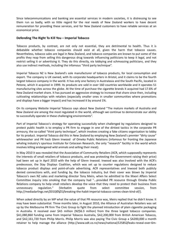Since telecommunications and banking are essential services in modern societies, it is distressing to see them run so badly, with so little regard for the real needs of New Zealand workers to have decent remuneration for providing these services, and for New Zealand customers to have reliable services at an economical price.

#### **Defending The Right To Kill You – Imperial Tobacco**

Tobacco products, by contrast, are not only not essential, they are detrimental to health. Thus it is debatable whether tobacco companies should exist at all, given the harm that tobacco causes. Nevertheless, tobacco sales are legal in New Zealand, and tobacco companies are known to put some of the profits they reap from selling this dangerous drug towards influencing politicians to keep it legal, and not restrict selling it or advertising it. They do this directly, via lobbying and schmoozing politicians, and they also use indirect methods, including the infamous "third party technique".

Imperial Tobacco NZ is New Zealand's sole manufacturer of tobacco products, for local consumption and export. The company is UK owned, with its corporate headquarters in Bristol, and it claims to be the fourth largest tobacco company in the world. It has only one factory in Australasia and the South Pacific, located in Petone, which it acquired in 1999. Its products are sold in over 160 countries worldwide and it operates 51 manufacturing sites across the globe. At the time of purchase the cigarette brands it acquired had 17.6% of New Zealand market share. It has pursued an aggressive strategy to increase that share since then, including cultivating relationships with retailers (especially smaller ones in smaller communities where promotions and displays have a bigger impact) and has increased it by around 1%.

On its company Website Imperial Tobacco says about New Zealand "The mature markets of Australia and New Zealand are among the most regulated in the world, although we continue to demonstrate our ability to successfully operate in these challenging environments".

Part of Imperial Tobacco's strategy for operating successfully when challenged by regulations designed to protect public health is to employ a PR firm to engage in one of the dirtiest tactics in the corporate PR armoury, the so-called "third party technique", which involves creating a fake citizens organisation to lobby for its product. Imperial Tobacco did this in New Zealand by employing New Zealand's premier "dirty cause" whitewasher and PR hack Glenn Inwood of Omeka Public Relations (infamous for fronting the Japanese whaling industry's spurious Institute for Cetacean Research, the only "research" facility in the world which involves killing endangered wild animals and selling their meat).

In May 2010 it was revealed that the Association of Community Retailers (ACR, which supposedly represents the interests of small retailers of tobacco products, and was protesting the Government raising their price) had been set up in April 2010 with the help of Glenn Inwood. Inwood was also involved with the ACR's predecessor, the Stay Displays Coalition, which was set up to counter regulations designed to reduce tobacco product displays and point‐of‐sale advertising. ACR representatives and Inwood both publicly denied connections with, and funding by, the tobacco industry, but their cover was blown by Imperial Tobacco's own NZ sales and marketing director Tony Meirs, when he admitted to the Maori Affairs Select Committee inquiry into smoking that the company had ''...provided PR resource through Omeka Public Relations company to help small retailers develop the voice that they need to protect their business from unnecessary regulation.'' (Verbatim quote from select committee session, from http://mediadarlings.net/2010/05/21/breaking-the-habit-imperial-tobacco-comes-clean-kind-of/).

When asked directly by an MP what the value of that PR resource was, Meirs replied that he didn't know. It may have been substantial. Three months later, in August 2010, the Alliance of Australian Retailers was set up by the Melbourne PR firm The Civic Group to fight the planned introduction of plain cigarette packaging in Australia. It received over \$A5 million (NZ\$6.3 million) from the three largest tobacco companies. \$A1,080,860 funding came from Imperial Tobacco Australia, \$A2,200,000 from British American Tobacco, and \$A2,161,720 from Philip Morris. Philip Morris was also paying The Civic Group a \$A200,000 a month retainer to help manage the alliance (http://www.odt.co.nz/news/national/125852/leaks‐reveal‐over‐6m‐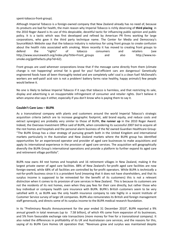spent-tobacco-front-group).

Although Imperial Tobacco is a foreign-owned company that New Zealand already has no need of, because its products are bad for health, the main reason why Imperial Tobacco is richly deserving of **third placing**in the 2010 Roger Award is its use of this despicable, deceitful tactic for influencing public opinion and public policy. It is a tactic which was first developed and refined by American PR firms working for large corporations, who gave it the third party technique name. The Center for Media and Democracy's SourceWatch Website says that the tobacco industry is notorious for using front groups to create confusion about the health risks associated with smoking. More recently it has moved to creating front groups to defend the "rights" of tobacco consumers and retailers (see http://www.sourcewatch.org/index.php?title=Front\_groups and also http://www.nosmoke.org/getthefacts.php?id=62).

Front groups are used wherever corporations know that if the message came directly from them (climate change is not happening! animal fat is good for you! fuel‐efficient cars are dangerous! Genetically engineered foods have all been thoroughly tested and are completely safe! coal is a clean fuel! McDonald's workers are well‐paid! acid rain is not a problem! battery farms raise healthy, happy animals!) few people would believe it.

No one is likely to believe Imperial Tobacco if it says that tobacco is harmless, and that restricting its sale, display and advertising is an insupportable infringement of consumer and retailer rights. Don't believe it when anyone else says it either, especially if you don't know who is paying them to say it.

# **Couldn't Care Less – BUPA**

As a transnational company with plants and customers around the world Imperial Tobacco's strategic acquisition criteria (which are to increase geographic footprint, add brand equity, and reduce costs and extract synergies) are probably very similar to those of BUPA, **the runner up** in the 2010 Roger Award. Indeed, the Overseas Investment Office said of BUPA, when considering its successful 2007 bid to acquire all the rest homes and hospitals and the personal alarm business of the NZ owned Guardian Healthcare Group: "The BUPA Group has a clear strategy of pursuing growth both in the United Kingdom and international markets particularly in the Australian and New Zealand markets where the BUPA group has identified opportunities for an experienced operator and provider of aged care businesses to make acquisitions and apply its international experience in the provision of aged care services. The acquisition will geographically diversify the BUPA Group's international operations and provide a platform to further expand its aged care and retirement village portfolio".

BUPA now owns 44 rest homes and hospitals and 16 retirement villages in New Zealand, making it the largest private owner of aged care facilities. 88% of New Zealand's for‐profit aged care facilities are now foreign‐owned, while 68% of all facilities are controlled by for‐profit operators. While BUPA is *technically* a not‐for‐profit business since it is a provident fund (meaning that it does not have shareholders, and that its surplus income is supposed to be reinvested for the benefit of its customers) this is not a relevant distinction when it comes to its provision of care services in New Zealand. This is because its customers are not the residents of its rest homes, even when they pay fees for their care directly, but rather those who buy individual or company health care insurance with BUPA. BUPA's British customers seem to be very satisfied with it, as BUPA was the only health insurance company to rate highly in a recent Institute of Customer Service survey of large UK companies. BUPA also remunerates its British and foreign management staff generously, and directs some of its surplus income to the BUPA medical research foundation.

In its "Preliminary Results Announcement for the year ended 31 December 2010", BUPA reported a 9% annual growth in total revenues (up to 7.58 billion), of which 4% came from expansion of its businesses, and 5% from favourable exchange rate transactions (more money for free for a transnational company). It also noted the differences in profitability of its UK and Australasian care services, and the reasons for this, saying of its BUPA Care Homes UK operation that: "Revenues grew and surplus was maintained despite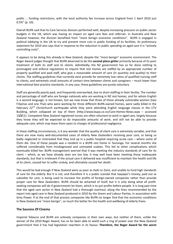public … funding restrictions, with the local authority fee increase across England from 1 April 2010 just 0.5%" (p. 10).

Overall BUPA said that its Care Services division performed well, despite increasing pressure on public sector budgets in the UK, which was having an impact on aged care fees and referrals. In Australia and New Zealand however, the division benefited from "more benign economic conditions". BUPA is engaged in political lobbying in the UK to try and prevent more cuts in public funding of its facilities. Its preliminary statement for 2010 also says that in response to the reduction in public spending on aged care it is "actively controlling costs".

It appears to be doing this already in New Zealand, despite the "more benign" economic environment. The Roger Award judges thought that BUPA deserved to be the **second place getter** primarily because of its poor treatment of both its staff and its clients. Admittedly, the NZ government has so far done nothing to promulgate and enforce regulations to require that rest homes are staffed by an appropriate number of properly qualified and paid staff, who give a reasonable amount of care (in quantity and quality) to their clients. The staffing guidelines that currently exist provide for extremely low ratios of qualified nursing staff to clients, and extremely small amounts of contact time between clients and caregivers – much lower than international best practice standards. In any case, these guidelines are purely voluntary.

Staff are generally poorly paid, and frequently overworked, due to short‐staffing in their facility. The number and percentage of staff who are foreign nationals who are working in NZ rest homes, and for whom English is a second language, is not known, but we now know that three of these already vulnerable women (two Filipinas and one Thai) who were working for three different BUPA‐owned homes, were sadly killed in the Februarv 22<sup>nd</sup> Christchurch earthquake while they were attending English language classes in the CTV Building, which collapsed on top of them (http://www.bupa.co.nz/Care-Homes-News.aspx – accessed 15/3/11). Competent New Zealand registered nurses are often reluctant to work in aged care, largely because they know they will be expected to do impossible amounts of work, and still not be able to provide adequate care, which may leave them open to charges of professional negligence.

In these staffing circumstances, is it any wonder that the quality of client care is extremely variable, and that there are now many well‐documented cases of elderly New Zealanders receiving poor care, or being so badly neglected or mistreated that they end up in a public hospital requiring acute care – where some of them die. One of these people was a resident in a BUPA rest home in Tauranga. For several months she suffered considerably from misdiagnosed and untreated scabies. This led to other complications which eventually killed her. BUPA management averred that it was meeting the industry standards of care for its client – which, as we have already seen are too low. It may well have been meeting those inadequate standards, but that is irrelevant if the actual care it delivered was insufficient to maintain the health and life of its client, caused her to suffer unduly, and ultimately caused her death.

This would be bad enough if New Zealand were as poor as Haiti or Zaire, and unable to fund high standards of care for the elderly. But it is not, and therefore it is a public scandal that taxpayer's money, paid out as subsidies for care, is being used to increase the profits of foreign-owned companies rather than provide proper care for New Zealanders. BUPA should be ashamed of itself, but it is only doing what all profit‐ seeking companies will do if governments let them, which is to put profits before people. It is long past time that the aged care sector in New Zealand had a thorough overhaul, along the lines recommended by the report into aged care in New Zealand produced in 2010 by the Green and Labour Parties, in association with Grey Power. If at the end of that process companies like BUPA no longer find that the economic conditions in New Zealand are ''more benign'', so much the better for the health and wellbeing of elderly Kiwis.

# **The Saurons Of Cinema**

Imperial Tobacco and BUPA are unlovely companies in their own ways, but neither of them, unlike the winner of the 2010 Roger Award, has so far been able to wield such a ring of power over the New Zealand government that it has had legislation rewritten in its favour. **Therefore, the Roger Award for the worst**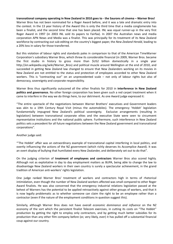transnational company operating in New Zealand in 2010 goes to - the Saurons of cinema - Warner Bros! Warner Bros has not been nominated for a Roger Award before, and it was a late and dramatic entry into the contest. In the 13 year history of the Award this is only the third time that a media conglomerate has been a finalist, and the second time that one has been placed. INL was equal runner-up in the very first Roger Award in 1997 (in 2003 INL sold its papers to Fairfax). In 2007 the Australian news and media corporation APN News and Media was a finalist. This was principally for its treatment of its New Zealand workforce by contracting out sub‐editing on the country's biggest paper, the *New Zealand Herald*, leading to a 20% loss in salary for those transferred.

But this violation of labour rights and standards pales in comparison to that of the American TimeWarner Corporation's subsidiary Warner Bros, which threw its considerable financial (in 2009, Warner Bros. became the first studio in history to gross more than \$US2 billion domestically in a single year http://en.wikipedia.org/wiki/Warner\_Bros) and political muscle around Wellington at the end of 2010, and succeeded in getting New Zealand law changed to ensure that New Zealanders working on its movies in New Zealand are not entitled to the status and protection of employees accorded to other New Zealand workers. This is "contracting out" on an unprecedented scale – not only of labour rights but also of democracy, sovereignty and corporate responsibility.

Warner Bros thus significantly outscored all the other finalists for 2010 in **interference in New Zealand politics and governance.** No other foreign corporation has been given such a red carpet treatment when it came to interfere in the way we do things here, to our detriment. As one Award judge expressed it:

"The entire spectacle of the negotiations between Warner Brothers' executives and Government leaders was akin to a 19th Century Royal Visit (minus the automobiles). The emergency 'Hobbit' legislation fundamentally impugned New Zealand's political sovereignty. Exclusive arrangements (resulting in legislation) between transnational corporate elites and the executive State were seen to circumvent representative institutions and the national public sphere. Furthermore, such interference in New Zealand politics sets a precedent for all future negotiations between the New Zealand government and transnational corporations".

Another judge said:

"'The Hobbit' affair was an extraordinary example of transnational capital interfering in local politics, and overtly influencing the actions of the NZ government (which richly deserves its Accomplice Award). It was an overt display of bullying that humiliated every New Zealander, and deliberately set out to do that".

On the judging criterion of **treatment of employees and contractors** Warner Bros also scored highly. Although not as exploitative in day to day employment matters as BUPA, being able to change the law to disadvantage New Zealand workers in their own country is surely a spectacular achievement, in the grand tradition of American anti‐workers' rights legislation.

One judge ranked Warner Bros' treatment of workers and contractors high in terms of rhetorical intimidation, even though the number of New Zealand workers affected was small compared to other Roger Award finalists. He was also concerned that the emergency industrial relations legislation passed at the behest of Warners has the potential to be applied retroactively against other groups of workers, and that it is now legally problematic as to whether someone can claim the right to be an employee rather than a contractor (even if the nature of the employment conditions in question suggest this).

Similarly, although Warner Bros does not have overall *economic dominance and influence* on the NZ economy of the sort which the persistent finalist Telecom exercises, in cutting its costs on "The Hobbit" production by getting the right to employ only contractors, and by getting much better subsidies for its production than any other film company before (or, very likely, ever) it has pulled off a substantial financial coup against our country.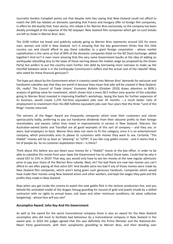Journalist Gordon Campbell points out that despite John Key saying that New Zealand could not afford to match the 20% tax rebates on domestic spending that France and Hungary offer to foreign film companies, in effect he did exactly that. Even worse, this rebate is for Warner Bros exclusively, so the company has been doubly privileged at the expense of the NZ taxpayer. New Zealand film companies which get no such breaks are left to choke in Warner Bros' dust.

The \$100 million tax break and publicity subsidy going to Warner Bros represents around \$25 for every man, woman and child in New Zealand. Isn't it amazing that the Key government thinks that this little country can and should afford to pay these subsidies to a giant foreign corporation ‐ whose market capitalisation is the same as that of 90% of the domestic companies listed on the NZ Stock Exchange, added together? And isn't it even more amazing that this very same Government baulks at the idea of adding an earthquake rebuilding levy to the taxes of those earning above the median wage (as proposed by the Green Party) but prefers to put the country even further into debt by borrowing more overseas to make up the shortfall between what is in the Earthquake Commission's coffers and the actual cost of the rebuild? Wow, who voted for these financial geniuses?!

The hype put about by the Government when it cravenly caved into Warner Bros' demands for exclusive and handsome subsidies was that they are worth it because they mean that jobs will be created in New Zealand. Oh, really? The Council of Trade Unions' *Economic Bulletin* (October 2010) draws attention to BERL's analysis of getting value for investment, which shows that a mere \$8.5 million (one quarter of the subsidies going to Warner Bros) invested in improving KiwiRail's workshops, laying the basis for further expansion of its business, would create 1,270 full-time equivalent jobs over 45 months – a much better ratio of employment to investment than the 800 fulltime equivalent jobs over four years that the three "Lord of the Rings" movies returned.

The winners of the Roger Award are frequently companies which treat their customers and clients spectacularly badly, preferring to pay out handsome dividends from their obscene profits to their foreign shareholders and owners rather than invest in improvements in service in New Zealand. Telecom, the Australian‐owned banks and TranzRail are all good examples of this sort of company – and they are, or were, bad employers to boot. Warner Bros does not seem to fit this category, since it is an entertainment company, which presumably aims to please its customers with movies they want to see. Certainly "The Hobbit" movies will be as least as "pleasing" as "LOTR", if you like crap goblin movies - and it seems that a lot of people do. So no customer exploitation there – is there?

Think about this before you put down your money for a "Hobbit" movie at the box office. In order to be able to subsidise this movie from your taxes the Government has to collect those taxes. Could that be why it raised GST to 15% in 2010? That way, you would only have to see ten movies at the new regular admission price to pay your share of the Warner Bros subsidy. Neat, eh? Too bad there are now two movies you can't afford to see after paying all that extra GST. And double extra too bad if any of those movies were made by New Zealand film companies, which aren't being given such generous handouts. Companies which would have made their movies using New Zealand actors and other workers, and kept the wages they paid and the profits they made in New Zealand.

Now when you get inside the cinema to watch the next goblin flick in the Jackson production line, and you behold the animated model of the dragon Smaug guarding his mound of gold and jewels (made by a skilled contractor with no rights to annual leave, sick leave and other minimum conditions, let alone collective bargaining) ‐ whose face will you see?

#### **Accomplice Award: John Key And His Government**

As well as the award for the worst transnational company there is also an award for the New Zealand accomplice who did most to facilitate bad behaviour by a transnational company in New Zealand in the award year. In 2010 the judges agreed that this was definitely the Prime Minister and the National‐Act‐ Maori Party government, with their sycophantic grovelling to Warner Bros, and their bending over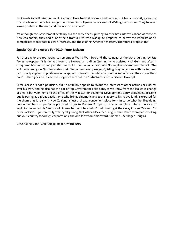backwards to facilitate their exploitation of New Zealand workers and taxpayers. It has apparently given rise to a whole new men's fashion garment trend in Hollywood – Warners of Wellington trousers. They have an arrow printed on the seat, and the words "Kiss here".

Yet although the Government certainly did the dirty deeds, putting Warner Bros interests ahead of those of New Zealanders, they had a lot of help from a Kiwi who was quite prepared to betray the interests of his compatriots to facilitate his own interests, and those of his American masters. Therefore I propose the

# **Special Quisling Award For 2010: Peter Jackson**

For those who are too young to remember World War Two and the coinage of the word quisling by *The Times* newspaper, it is derived from the Norwegian Vidkun Quisling, who assisted Nazi Germany after it conquered his own country so that he could rule the collaborationist Norwegian government himself. The Wikipedia entry on Quisling states that: "In contemporary usage, Quisling is synonymous with traitor, and particularly applied to politicians who appear to favour the interests of other nations or cultures over their own". It then goes on to cite the usage of the word in a 1944 Warner Bros cartoon! How apt.

Peter Jackson is not a politician, but he certainly appears to favour the interests of other nations or cultures over his own, and he also has the ear of top Government politicians, as we know from the leaked exchange of emails between him and the office of the Minister for Economic Development Gerry Brownlee. Jackson's public posing as a great patriot, one who brings cinematic and tourist glory to his native land, is exposed for the sham that it really is. New Zealand is just a cheap, convenient place for him to do what he likes doing best – but he was perfectly prepared to go to Eastern Europe, or any other place where the rate of exploitation suited his Saurons of cinema better, if he couldn't help them get their way in New Zealand. Sir Peter Jackson – you are fully worthy of joining that other blackened knight, that other exemplar in selling out your country to foreign corporations, the one for whom this award is named – Sir Roger Douglas.

Dr Christine Dann, Chief Judge, Roger Award 2010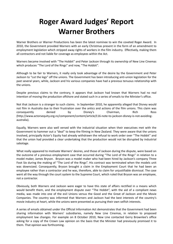# **Roger Award Judges' Report Warner Brothers**

Warner Brothers or Warner Productions has been the latest nominee to win the coveted Roger Award. In 2010, the Government provided Warners with an early Christmas present in the form of an amendment to employment legislation which stripped away rights of workers in the film industry. Effectively, making them all contractors and not liable for coverage as employees within the Act.

Warners became involved with "The Hobbit" and Peter Jackson through its ownership of New Line Cinemas which produces "The Lord of the Rings" and now, "The Hobbit".

Although to be fair to Warners, it really only took advantage of the desire by the Government and Peter Jackson to "cut the legs" off the unions. The Government has been introducing anti‐union legislation for the past several years, while, Jackson and his various companies have had a previous tenuous relationship with the unions.

Despite previous claims to the contrary, it appears that Jackson had known that Warners had no real intention of moving the production offshore and stated such in a series of emails to the Minister's office.

Not that Jackson is a stranger to such claims. In September 2010, he apparently alleged that Disney would not film in Australia due to their frustration over the antics and actions of the film unions. This claim was consequently denied by Disney's Chairman, Rich Ross (http://www.actorsequity.org.nz/component/content/article/116‐note‐to‐jackson‐disney‐is‐not‐avoiding‐ australia).

Equally, Warners were also well versed with the industrial situation when their executives met with the Government to hammer out a "deal" to keep the filming in New Zealand. They were aware that the unions involved, principally Actor's Equity had already withdrawn the refusal to work order over "The Hobbit" and that the union had provided a clear undertaking that the production would not be disrupted by industrial sabotage.

What really appeared to motivate Warners' desires, and those of Jackson during the dispute, were based on the outcome of a previous employment case that occurred during "The Lord of the Rings" in relation to a model maker, James Bryson. Bryson was a model maker who had been hired by Jackson's company Three Foot Six during the making of "The Lord of the Rings". His contract was terminated when the models unit was downsized. Consequently, Bryson brought a claim in the Employment Court that he had been an employee rather than a contractor and he was, therefore, able to claim for unjustifiable dismissal. The case went all the way through the court system to the Supreme Court, which ruled that Bryson was an employee, not a contractor.

Obviously, both Warners and Jackson were eager to have this state of affairs rectified in a means which would benefit them, and the employment dispute over "The Hobbit", with the aid of a compliant news media, was made into one of the evil Unions versus the Good and the Great of Jackson and the Movie Companies. The country was informed that Warners and Jackson had the best interests of the country's movie industry at heart, while the unions were presented as pursuing their own selfish interests.

A series of emails obtained under the Official Information Act demonstrates that the Government had been sharing information with Warners' subsidiaries, namely New Line Cinemas, in relation to proposed employment law changes. For example on 8 October 2010, New Line contacted Gerry Brownlee's office asking for a copy of the Crown Law opinion on the basis that the Minister had previously promised it to them. That opinion was forthcoming.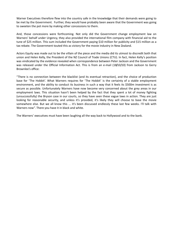Warner Executives therefore flew into the country safe in the knowledge that their demands were going to be met by the Government. Further, they would have probably been aware that the Government was going to sweeten the pot more by making other concessions to them.

And, those concessions were forthcoming. Not only did the Government change employment law on Warners' behalf under Urgency, they also provided the international film company with financial aid to the tune of \$25 million. This sum included the Government paying \$10 million for publicity and \$15 million as a tax rebate. The Government touted this as victory for the movie industry in New Zealand.

Actors Equity was made out to be the villain of the piece and the media did its utmost to discredit both that union and Helen Kelly, the President of the NZ Council of Trade Unions (CTU). In fact, Helen Kelly's position was vindicated by the evidence revealed when correspondence between Peter Jackson and the Government was released under the Official Information Act. This is from an e-mail (18/10/10) from Jackson to Gerry Brownlee's office:

"There is no connection between the blacklist (and its eventual retraction), and the choice of production base for 'The Hobbit'. What Warners requires for 'The Hobbit' is the certainty of a stable employment environment, and the ability to conduct its business in such a way that it feels its \$500m investment is as secure as possible. Unfortunately Warners have now become very concerned about the grey areas in our employment laws. This situation hasn't been helped by the fact that they spent a lot of money fighting (unsuccessfully) the Bryson case in our courts, so they have seen these vague laws in action. They are just looking for reasonable security, and unless it's provided, it's likely they will choose to base the movie somewhere else. But we all know this ... it's been discussed endlessly these last few weeks. I'll talk with Warners now". There you have it in black and white.

The Warners' executives must have been laughing all the way back to Hollywood and to the bank.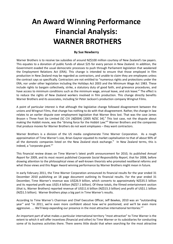# **An Award Winning Performance Financial Analysis: WARNER BROTHERS**

### **By Sue Newberry**

Warner Brothers is to receive tax subsidies of around NZ\$100 million courtesy of New Zealand's tax payers. This equates to a donation of public funds of about \$25 for every person in New Zealand. In addition, the Government evaded the usual democratic processes to push through Parliament legislation that weakened the Employment Relations Act (ERA). This change is intended to ensure that those employed in film production in New Zealand may be regarded as contractors, and unable to claim they are employees unless the contract says so specifically. Contractors are not entitled to "numerous rights and protections under the ERA, nor under other legislation including the Holidays Act 2003 and the Minimum Wage Act 1983. These include rights to bargain collectively, strike, a statutory duty of good faith, and grievance procedures, and have access to minimum conditions such as the minimum wage, annual leave, and sick leave."<sup>i</sup> The effect is to reduce the rights of New Zealand workers involved in film production. This change directly benefits Warner Brothers and its associates, including Sir Peter Jackson's production company Wingnut Films.

A point of particular interest is that although the legislative change followed disagreement between the unions and Wingnut Films, that change has nothing to do with that disagreement. Rather, the change in law relates to an earlier dispute over employment legislation that Warner Bros lost. That was the case James Bryson v Three Foot Six Limited (SC CIV 24/2004) [2005 NZSC 34].<sup>ii</sup> This lost case, not the dispute about making the Hobbit movie, was the "driving force for the Hobbit Law."<sup>iii</sup> Warner Brothers and the companies that produce movies for Warner Brothers do not want employees – they want contractors.

Warner Brothers is a division of the US media conglomerate Time Warner Corporation. As a rough approximation of Time Warner's size, Brian Gaynor equated its market capitalisation to that of about 90% of all the domestic companies listed on the New Zealand stock exchange.<sup>iv</sup> In New Zealand terms, this is indeed, a "corporate giant."<sup>v</sup>

This financial review draws on Time Warner's latest profit announcement for 2010, its published *Annual Report* for 2009, and its most recent published *Corporate Social Responsibility Report*, that for 2008, before drawing attention to the philosophical views of well‐known theorists who promoted neoliberal reforms and what those views and this Roger Award winning performance by Warner Brothers might mean in future.

In early February 2011, the Time Warner Corporation announced its financial results for the year ended 31 December 2010 publishing an 18 page document outlining its financial results. For the year ended 31 December, Time Warner's revenue was US\$26.9 billion, which converts to approximately NZ\$35.5 billion and its reported profit was US\$5.4 billion (NZ\$7.1 billion). Of these totals, the filmed entertainment section (that is, Warner Brothers) reported revenue of US\$11.6 billion (NZ\$15.3 billion) and profit of US\$1.1 billion (NZ\$1.5 billion). Warner Brothers plays a big part in Time Warner's results.

According to Time Warner's Chairman and Chief Executive Officer, Jeff Bewkes, 2010 was an "outstanding year" and "in 2011, we're even more confident about how we're positioned, and we'll be even more aggressive. .... We'll keep expanding our presence in the most attractive international territories."<sup>vi</sup>

An important part of what makes a particular international territory "most attractive" to Time Warner is the extent to which it will offer incentives (financial and other) to Time Warner or its subsidiaries for conducting some of its business activities there. There seems little doubt that when searching for the most attractive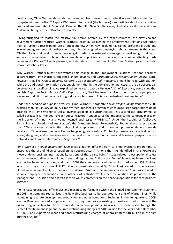destinations, Time Warner demands tax incentives from governments, effectively requiring countries to compete with each other.<sup>vii</sup> A quick Web search for recent (the last year) news articles about such activities produced material about Montreal, Canada; the UK; New South Wales, Australia: California and New Zealand all trying to offer attractive tax breaks.<sup>viii</sup>

Having struggled to match the massive tax breaks offered by the other countries, the New Zealand government further reduced Warner Brothers' costs by weakening the Employment Relations Act rather than by further direct expenditure of public money. When New Zealand has signed preferential trade and investment agreements with other countries, it has also signed accompanying labour agreements that state: "Neither Party shall seek to encourage or gain trade or investment advantage by weakening or failing to enforce or administer its labour laws, regulations, policies and practices in a manner affecting trade between the Parties."ix Under pressure, and despite such commitments, the New Zealand government did weaken its labour laws.

Why Warner Brothers might have wanted this change to the Employment Relations Act soon becomes apparent from Time Warner's published *Annual Reports* and *Corporate Social Responsibility Reports*. Note, however, that like *Annual Reports*, *Corporate Social Responsibility Reports* should be read with caution. While the additional information does supplement that in the published *Annual Reports* the disclosures can be selective and self-serving. As explained some years ago by Unilever's Chief Executive, companies that publish *Corporate Social Responsibility Reports* do so, "Not because it is nice to do or because people are forcing us to do it ..., but because it is good for our business ... This is a hard-edged business issue."<sup>x</sup>

Under the heading of supplier diversity, Time Warner's *Corporate Social Responsibility Report* for 2008 explains that, "In January of 2007, Time Warner launched a program to encourage large corporations doing business with Time Warner to utilise diverse suppliers as subcontractors. This second tier programme, so called because it is intended to reach subcontractors – underscores the importance the company places on the inclusion of minority and women-owned businesses (MWBEs)..."<sup>xi</sup> Under the heading of "Collective Bargaining and Freedom of Association", the *Corporate Social Responsibility Report* also assures readers that: "Time Warner respects the rights of all employees … and … contract professionals who provide services to Time Warner under collective bargaining relationships. Contract professionals include directors, actors, designers, and others involved in the production of motion pictures and television programs in our Networks and Filmed Entertainment Segments"XII

Time Warner's *Annual Report* for 2009 gives a rather different slant to Time Warner's programme to encourage the use of "diverse suppliers as subcontractors." Among the risks identified in this *Report* are those of doing business internationally, just one of those risks being "issues related to occupational safety and adherence to diverse local labour laws and regulations."xiii From this *Annual Report*, we learn that Time Warner has been restructuring, and that in 2009 the company as a whole had incurred some US\$212million in restructuring costs. Of this US\$212 million, approximately half (US\$105 million) related to Time Warner's filmed entertainment unit, in other words to Warner Brothers. The amounts concerned "primarily related to various employee terminations and other exit activities"xiv Further explanation is provided in the Management Discussion and Analysis section which comments on the financial operations for each business segment:

"To increase operational efficiencies and maximise performance within the Filmed Entertainment segment, in 2008 the Company reorganised the New Line business to be operated as a unit of Warner Bros, while maintaining separate development, production and other operations. Beginning in the first quarter of 2009, Warner Bros commenced a significant restructuring, primarily consisting of headcount reductions and the outsourcing of certain functions to an external service provider. As a result of these restructurings, the Filmed Entertainment segment incurred restructuring charges of \$105 million for the year ended December 31, 2009, and expects to incur additional restructuring charges of approximately \$10 million in the first quarter of 2010."XV